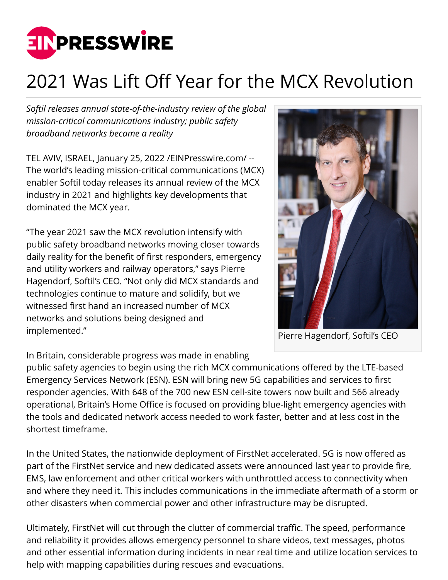

# 2021 Was Lift Off Year for the MCX Revolution

*Softil releases annual state-of-the-industry review of the global mission-critical communications industry; public safety broadband networks became a reality* 

TEL AVIV, ISRAEL, January 25, 2022 /[EINPresswire.com/](http://www.einpresswire.com) -- The world's leading mission-critical communications (MCX) enabler Softil today releases its annual review of the MCX industry in 2021 and highlights key developments that dominated the MCX year.

"The year 2021 saw the MCX revolution intensify with public safety broadband networks moving closer towards daily reality for the benefit of first responders, emergency and utility workers and railway operators," says Pierre Hagendorf, Softil's CEO. "Not only did MCX standards and technologies continue to mature and solidify, but we witnessed first hand an increased number of MCX networks and solutions being designed and implemented."



Pierre Hagendorf, Softil's CEO

In Britain, considerable progress was made in enabling

public safety agencies to begin using the rich MCX communications offered by the LTE-based Emergency Services Network (ESN). ESN will bring new 5G capabilities and services to first responder agencies. With 648 of the 700 new ESN cell-site towers now built and 566 already operational, Britain's Home Office is focused on providing blue-light emergency agencies with the tools and dedicated network access needed to work faster, better and at less cost in the shortest timeframe.

In the United States, the nationwide deployment of FirstNet accelerated. 5G is now offered as part of the FirstNet service and new dedicated assets were announced last year to provide fire, EMS, law enforcement and other critical workers with unthrottled access to connectivity when and where they need it. This includes communications in the immediate aftermath of a storm or other disasters when commercial power and other infrastructure may be disrupted.

Ultimately, FirstNet will cut through the clutter of commercial traffic. The speed, performance and reliability it provides allows emergency personnel to share videos, text messages, photos and other essential information during incidents in near real time and utilize location services to help with mapping capabilities during rescues and evacuations.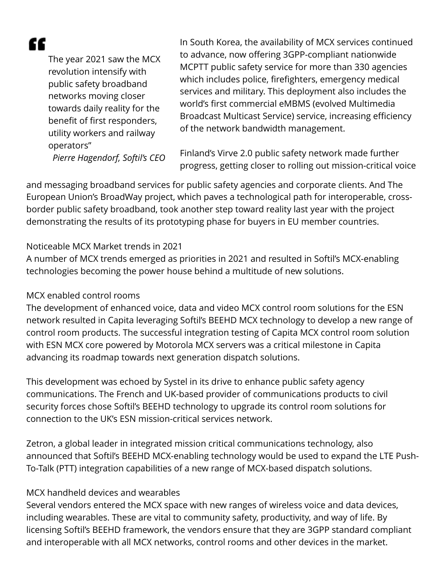# "

The year 2021 saw the MCX revolution intensify with public safety broadband networks moving closer towards daily reality for the benefit of first responders, utility workers and railway operators"

*Pierre Hagendorf, Softil's CEO*

In South Korea, the availability of MCX services continued to advance, now offering 3GPP-compliant nationwide MCPTT public safety service for more than 330 agencies which includes police, firefighters, emergency medical services and military. This deployment also includes the world's first commercial eMBMS (evolved Multimedia Broadcast Multicast Service) service, increasing efficiency of the network bandwidth management.

Finland's Virve 2.0 public safety network made further progress, getting closer to rolling out mission-critical voice

and messaging broadband services for public safety agencies and corporate clients. And The European Union's BroadWay project, which paves a technological path for interoperable, crossborder public safety broadband, took another step toward reality last year with the project demonstrating the results of its prototyping phase for buyers in EU member countries.

# Noticeable MCX Market trends in 2021

A number of MCX trends emerged as priorities in 2021 and resulted in Softil's MCX-enabling technologies becoming the power house behind a multitude of new solutions.

# MCX enabled control rooms

The development of enhanced voice, data and video MCX control room solutions for the ESN network resulted in Capita leveraging Softil's BEEHD MCX technology to develop a new range of control room products. The successful integration testing of Capita MCX control room solution with ESN MCX core powered by Motorola MCX servers was a critical milestone in Capita advancing its roadmap towards next generation dispatch solutions.

This development was echoed by Systel in its drive to enhance public safety agency communications. The French and UK-based provider of communications products to civil security forces chose Softil's BEEHD technology to upgrade its control room solutions for connection to the UK's ESN mission-critical services network.

Zetron, a global leader in integrated mission critical communications technology, also announced that Softil's BEEHD MCX-enabling technology would be used to expand the LTE Push-To-Talk (PTT) integration capabilities of a new range of MCX-based dispatch solutions.

# MCX handheld devices and wearables

Several vendors entered the MCX space with new ranges of wireless voice and data devices, including wearables. These are vital to community safety, productivity, and way of life. By licensing Softil's BEEHD framework, the vendors ensure that they are 3GPP standard compliant and interoperable with all MCX networks, control rooms and other devices in the market.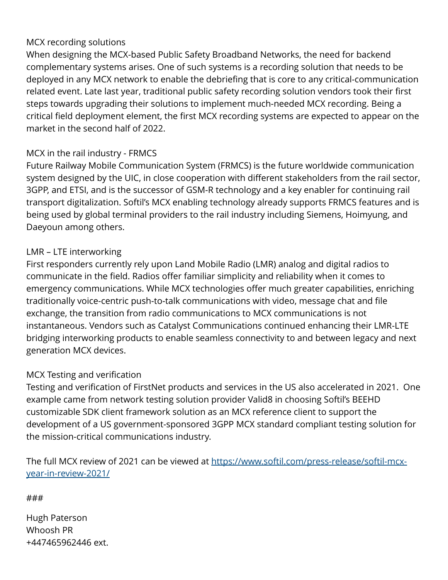#### MCX recording solutions

When designing the MCX-based Public Safety Broadband Networks, the need for backend complementary systems arises. One of such systems is a recording solution that needs to be deployed in any MCX network to enable the debriefing that is core to any critical-communication related event. Late last year, traditional public safety recording solution vendors took their first steps towards upgrading their solutions to implement much-needed MCX recording. Being a critical field deployment element, the first MCX recording systems are expected to appear on the market in the second half of 2022.

# MCX in the rail industry - FRMCS

Future Railway Mobile Communication System (FRMCS) is the future worldwide communication system designed by the UIC, in close cooperation with different stakeholders from the rail sector, 3GPP, and ETSI, and is the successor of GSM-R technology and a key enabler for continuing rail transport digitalization. Softil's MCX enabling technology already supports FRMCS features and is being used by global terminal providers to the rail industry including Siemens, Hoimyung, and Daeyoun among others.

# LMR – LTE interworking

First responders currently rely upon Land Mobile Radio (LMR) analog and digital radios to communicate in the field. Radios offer familiar simplicity and reliability when it comes to emergency communications. While MCX technologies offer much greater capabilities, enriching traditionally voice-centric push-to-talk communications with video, message chat and file exchange, the transition from radio communications to MCX communications is not instantaneous. Vendors such as Catalyst Communications continued enhancing their LMR-LTE bridging interworking products to enable seamless connectivity to and between legacy and next generation MCX devices.

# MCX Testing and verification

Testing and verification of FirstNet products and services in the US also accelerated in 2021. One example came from network testing solution provider Valid8 in choosing Softil's BEEHD customizable SDK client framework solution as an MCX reference client to support the development of a US government-sponsored 3GPP MCX standard compliant testing solution for the mission-critical communications industry.

The full MCX review of 2021 can be viewed at [https://www.softil.com/press-release/softil-mcx](https://www.softil.com/press-release/softil-mcx-year-in-review-2021/)[year-in-review-2021/](https://www.softil.com/press-release/softil-mcx-year-in-review-2021/)

#### ###

Hugh Paterson Whoosh PR +447465962446 ext.